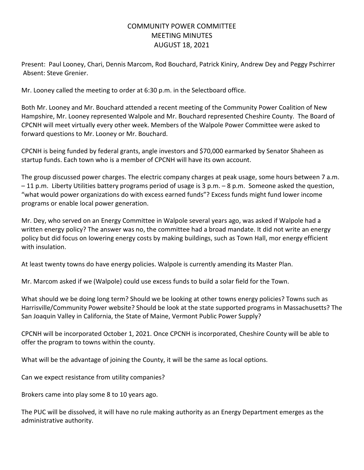## COMMUNITY POWER COMMITTEE MEETING MINUTES AUGUST 18, 2021

Present: Paul Looney, Chari, Dennis Marcom, Rod Bouchard, Patrick Kiniry, Andrew Dey and Peggy Pschirrer Absent: Steve Grenier.

Mr. Looney called the meeting to order at 6:30 p.m. in the Selectboard office.

Both Mr. Looney and Mr. Bouchard attended a recent meeting of the Community Power Coalition of New Hampshire, Mr. Looney represented Walpole and Mr. Bouchard represented Cheshire County. The Board of CPCNH will meet virtually every other week. Members of the Walpole Power Committee were asked to forward questions to Mr. Looney or Mr. Bouchard.

CPCNH is being funded by federal grants, angle investors and \$70,000 earmarked by Senator Shaheen as startup funds. Each town who is a member of CPCNH will have its own account.

The group discussed power charges. The electric company charges at peak usage, some hours between 7 a.m. – 11 p.m. Liberty Utilities battery programs period of usage is 3 p.m. – 8 p.m. Someone asked the question, "what would power organizations do with excess earned funds"? Excess funds might fund lower income programs or enable local power generation.

Mr. Dey, who served on an Energy Committee in Walpole several years ago, was asked if Walpole had a written energy policy? The answer was no, the committee had a broad mandate. It did not write an energy policy but did focus on lowering energy costs by making buildings, such as Town Hall, mor energy efficient with insulation.

At least twenty towns do have energy policies. Walpole is currently amending its Master Plan.

Mr. Marcom asked if we (Walpole) could use excess funds to build a solar field for the Town.

What should we be doing long term? Should we be looking at other towns energy policies? Towns such as Harrisville/Community Power website? Should be look at the state supported programs in Massachusetts? The San Joaquin Valley in California, the State of Maine, Vermont Public Power Supply?

CPCNH will be incorporated October 1, 2021. Once CPCNH is incorporated, Cheshire County will be able to offer the program to towns within the county.

What will be the advantage of joining the County, it will be the same as local options.

Can we expect resistance from utility companies?

Brokers came into play some 8 to 10 years ago.

The PUC will be dissolved, it will have no rule making authority as an Energy Department emerges as the administrative authority.